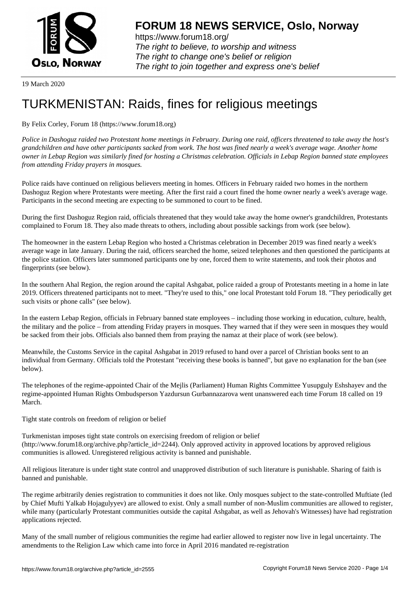

https://www.forum18.org/ The right to believe, to worship and witness The right to change one's belief or religion [The right to join together a](https://www.forum18.org/)nd express one's belief

19 March 2020

## [TURKMENISTA](https://www.forum18.org)N: Raids, fines for religious meetings

By Felix Corley, Forum 18 (https://www.forum18.org)

*Police in Dashoguz raided two Protestant home meetings in February. During one raid, officers threatened to take away the host's grandchildren and have other participants sacked from work. The host was fined nearly a week's average wage. Another home owner in Lebap Region was similarly fined for hosting a Christmas celebration. Officials in Lebap Region banned state employees from attending Friday prayers in mosques.*

Police raids have continued on religious believers meeting in homes. Officers in February raided two homes in the northern Dashoguz Region where Protestants were meeting. After the first raid a court fined the home owner nearly a week's average wage. Participants in the second meeting are expecting to be summoned to court to be fined.

During the first Dashoguz Region raid, officials threatened that they would take away the home owner's grandchildren, Protestants complained to Forum 18. They also made threats to others, including about possible sackings from work (see below).

The homeowner in the eastern Lebap Region who hosted a Christmas celebration in December 2019 was fined nearly a week's average wage in late January. During the raid, officers searched the home, seized telephones and then questioned the participants at the police station. Officers later summoned participants one by one, forced them to write statements, and took their photos and fingerprints (see below).

In the southern Ahal Region, the region around the capital Ashgabat, police raided a group of Protestants meeting in a home in late 2019. Officers threatened participants not to meet. "They're used to this," one local Protestant told Forum 18. "They periodically get such visits or phone calls" (see below).

In the eastern Lebap Region, officials in February banned state employees – including those working in education, culture, health, the military and the police – from attending Friday prayers in mosques. They warned that if they were seen in mosques they would be sacked from their jobs. Officials also banned them from praying the namaz at their place of work (see below).

Meanwhile, the Customs Service in the capital Ashgabat in 2019 refused to hand over a parcel of Christian books sent to an individual from Germany. Officials told the Protestant "receiving these books is banned", but gave no explanation for the ban (see below).

The telephones of the regime-appointed Chair of the Mejlis (Parliament) Human Rights Committee Yusupguly Eshshayev and the regime-appointed Human Rights Ombudsperson Yazdursun Gurbannazarova went unanswered each time Forum 18 called on 19 March.

Tight state controls on freedom of religion or belief

Turkmenistan imposes tight state controls on exercising freedom of religion or belief (http://www.forum18.org/archive.php?article\_id=2244). Only approved activity in approved locations by approved religious communities is allowed. Unregistered religious activity is banned and punishable.

All religious literature is under tight state control and unapproved distribution of such literature is punishable. Sharing of faith is banned and punishable.

The regime arbitrarily denies registration to communities it does not like. Only mosques subject to the state-controlled Muftiate (led by Chief Mufti Yalkab Hojagulyyev) are allowed to exist. Only a small number of non-Muslim communities are allowed to register, while many (particularly Protestant communities outside the capital Ashgabat, as well as Jehovah's Witnesses) have had registration applications rejected.

Many of the small number of religious communities the regime had earlier allowed to register now live in legal uncertainty. The amendments to the Religion Law which came into force in April 2016 mandated re-registration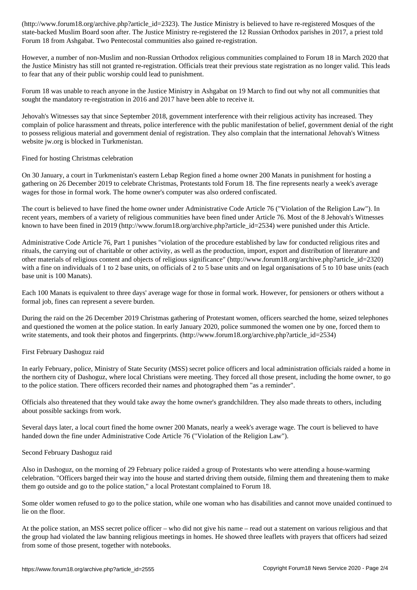state-backed Muslim Board soon after. The Justice Ministry re-registered the 12 Russian Orthodox parishes in 2017, a priest told Forum 18 from Ashgabat. Two Pentecostal communities also gained re-registration.

However, a number of non-Muslim and non-Russian Orthodox religious communities complained to Forum 18 in March 2020 that the Justice Ministry has still not granted re-registration. Officials treat their previous state registration as no longer valid. This leads to fear that any of their public worship could lead to punishment.

Forum 18 was unable to reach anyone in the Justice Ministry in Ashgabat on 19 March to find out why not all communities that sought the mandatory re-registration in 2016 and 2017 have been able to receive it.

Jehovah's Witnesses say that since September 2018, government interference with their religious activity has increased. They complain of police harassment and threats, police interference with the public manifestation of belief, government denial of the right to possess religious material and government denial of registration. They also complain that the international Jehovah's Witness website jw.org is blocked in Turkmenistan.

## Fined for hosting Christmas celebration

On 30 January, a court in Turkmenistan's eastern Lebap Region fined a home owner 200 Manats in punishment for hosting a gathering on 26 December 2019 to celebrate Christmas, Protestants told Forum 18. The fine represents nearly a week's average wages for those in formal work. The home owner's computer was also ordered confiscated.

The court is believed to have fined the home owner under Administrative Code Article 76 ("Violation of the Religion Law"). In recent years, members of a variety of religious communities have been fined under Article 76. Most of the 8 Jehovah's Witnesses known to have been fined in 2019 (http://www.forum18.org/archive.php?article\_id=2534) were punished under this Article.

Administrative Code Article 76, Part 1 punishes "violation of the procedure established by law for conducted religious rites and rituals, the carrying out of charitable or other activity, as well as the production, import, export and distribution of literature and other materials of religious content and objects of religious significance" (http://www.forum18.org/archive.php?article\_id=2320) with a fine on individuals of 1 to 2 base units, on officials of 2 to 5 base units and on legal organisations of 5 to 10 base units (each base unit is 100 Manats).

Each 100 Manats is equivalent to three days' average wage for those in formal work. However, for pensioners or others without a formal job, fines can represent a severe burden.

During the raid on the 26 December 2019 Christmas gathering of Protestant women, officers searched the home, seized telephones and questioned the women at the police station. In early January 2020, police summoned the women one by one, forced them to write statements, and took their photos and fingerprints. (http://www.forum18.org/archive.php?article\_id=2534)

## First February Dashoguz raid

In early February, police, Ministry of State Security (MSS) secret police officers and local administration officials raided a home in the northern city of Dashoguz, where local Christians were meeting. They forced all those present, including the home owner, to go to the police station. There officers recorded their names and photographed them "as a reminder".

Officials also threatened that they would take away the home owner's grandchildren. They also made threats to others, including about possible sackings from work.

Several days later, a local court fined the home owner 200 Manats, nearly a week's average wage. The court is believed to have handed down the fine under Administrative Code Article 76 ("Violation of the Religion Law").

## Second February Dashoguz raid

Also in Dashoguz, on the morning of 29 February police raided a group of Protestants who were attending a house-warming celebration. "Officers barged their way into the house and started driving them outside, filming them and threatening them to make them go outside and go to the police station," a local Protestant complained to Forum 18.

Some older women refused to go to the police station, while one woman who has disabilities and cannot move unaided continued to lie on the floor.

At the police station, an MSS secret police officer – who did not give his name – read out a statement on various religious and that the group had violated the law banning religious meetings in homes. He showed three leaflets with prayers that officers had seized from some of those present, together with notebooks.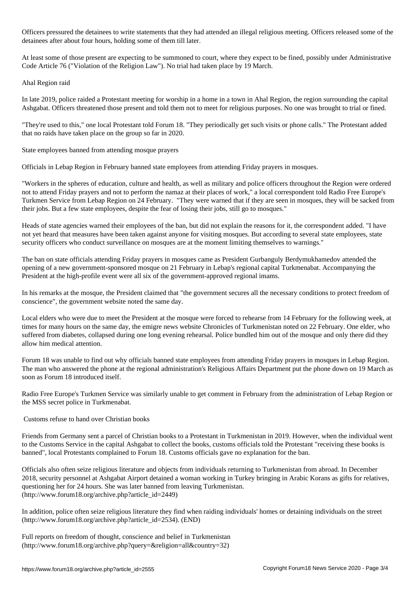Officers pressured the detainees to write statements that they had attended an illegal religious meeting. Officers released some of the detainees after about four hours, holding some of them till later.

At least some of those present are expecting to be summoned to court, where they expect to be fined, possibly under Administrative Code Article 76 ("Violation of the Religion Law"). No trial had taken place by 19 March.

Ahal Region raid

In late 2019, police raided a Protestant meeting for worship in a home in a town in Ahal Region, the region surrounding the capital Ashgabat. Officers threatened those present and told them not to meet for religious purposes. No one was brought to trial or fined.

"They're used to this," one local Protestant told Forum 18. "They periodically get such visits or phone calls." The Protestant added that no raids have taken place on the group so far in 2020.

State employees banned from attending mosque prayers

Officials in Lebap Region in February banned state employees from attending Friday prayers in mosques.

"Workers in the spheres of education, culture and health, as well as military and police officers throughout the Region were ordered not to attend Friday prayers and not to perform the namaz at their places of work," a local correspondent told Radio Free Europe's Turkmen Service from Lebap Region on 24 February. "They were warned that if they are seen in mosques, they will be sacked from their jobs. But a few state employees, despite the fear of losing their jobs, still go to mosques."

Heads of state agencies warned their employees of the ban, but did not explain the reasons for it, the correspondent added. "I have not yet heard that measures have been taken against anyone for visiting mosques. But according to several state employees, state security officers who conduct surveillance on mosques are at the moment limiting themselves to warnings."

The ban on state officials attending Friday prayers in mosques came as President Gurbanguly Berdymukhamedov attended the opening of a new government-sponsored mosque on 21 February in Lebap's regional capital Turkmenabat. Accompanying the President at the high-profile event were all six of the government-approved regional imams.

In his remarks at the mosque, the President claimed that "the government secures all the necessary conditions to protect freedom of conscience", the government website noted the same day.

Local elders who were due to meet the President at the mosque were forced to rehearse from 14 February for the following week, at times for many hours on the same day, the emigre news website Chronicles of Turkmenistan noted on 22 February. One elder, who suffered from diabetes, collapsed during one long evening rehearsal. Police bundled him out of the mosque and only there did they allow him medical attention.

Forum 18 was unable to find out why officials banned state employees from attending Friday prayers in mosques in Lebap Region. The man who answered the phone at the regional administration's Religious Affairs Department put the phone down on 19 March as soon as Forum 18 introduced itself.

Radio Free Europe's Turkmen Service was similarly unable to get comment in February from the administration of Lebap Region or the MSS secret police in Turkmenabat.

Customs refuse to hand over Christian books

Friends from Germany sent a parcel of Christian books to a Protestant in Turkmenistan in 2019. However, when the individual went to the Customs Service in the capital Ashgabat to collect the books, customs officials told the Protestant "receiving these books is banned", local Protestants complained to Forum 18. Customs officials gave no explanation for the ban.

Officials also often seize religious literature and objects from individuals returning to Turkmenistan from abroad. In December 2018, security personnel at Ashgabat Airport detained a woman working in Turkey bringing in Arabic Korans as gifts for relatives, questioning her for 24 hours. She was later banned from leaving Turkmenistan. (http://www.forum18.org/archive.php?article\_id=2449)

In addition, police often seize religious literature they find when raiding individuals' homes or detaining individuals on the street (http://www.forum18.org/archive.php?article\_id=2534). (END)

Full reports on freedom of thought, conscience and belief in Turkmenistan (http://www.forum18.org/archive.php?query=&religion=all&country=32)